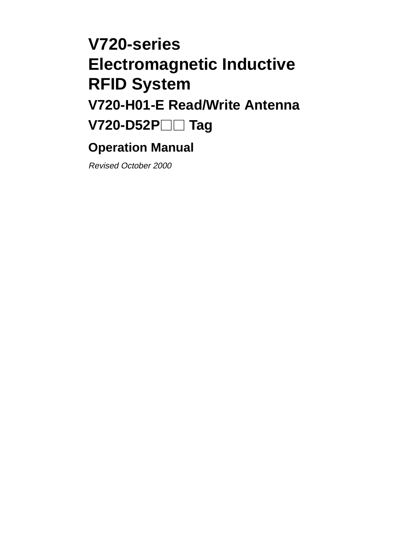# **V720-series Electromagnetic Inductive RFID System V720-H01-E Read/Write Antenna V720-D52P Tag**

# **Operation Manual**

Revised October 2000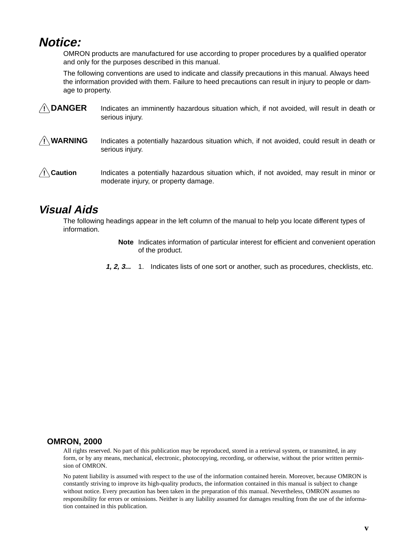# **Notice:**

OMRON products are manufactured for use according to proper procedures by a qualified operator and only for the purposes described in this manual.

The following conventions are used to indicate and classify precautions in this manual. Always heed the information provided with them. Failure to heed precautions can result in injury to people or damage to property.

- **! DANGER** Indicates an imminently hazardous situation which, if not avoided, will result in death or serious injury.
- **! WARNING** Indicates a potentially hazardous situation which, if not avoided, could result in death or serious injury.
- **/!∖** Caution **Caution** Indicates a potentially hazardous situation which, if not avoided, may result in minor or moderate injury, or property damage.

#### **Visual Aids**

The following headings appear in the left column of the manual to help you locate different types of information.

- **Note** Indicates information of particular interest for efficient and convenient operation of the product.
- **1, 2, 3...** 1. Indicates lists of one sort or another, such as procedures, checklists, etc.

#### **OMRON, 2000**

All rights reserved. No part of this publication may be reproduced, stored in a retrieval system, or transmitted, in any form, or by any means, mechanical, electronic, photocopying, recording, or otherwise, without the prior written permission of OMRON.

No patent liability is assumed with respect to the use of the information contained herein. Moreover, because OMRON is constantly striving to improve its high-quality products, the information contained in this manual is subject to change without notice. Every precaution has been taken in the preparation of this manual. Nevertheless, OMRON assumes no responsibility for errors or omissions. Neither is any liability assumed for damages resulting from the use of the information contained in this publication.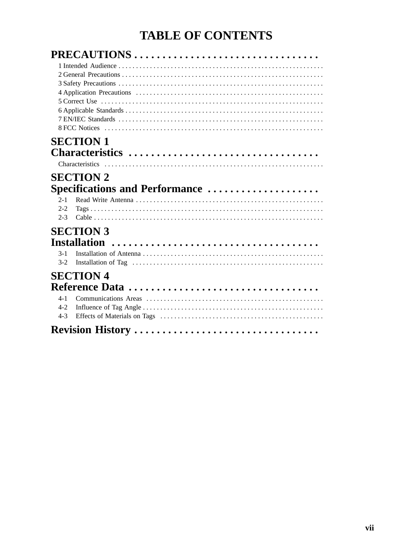# **TABLE OF CONTENTS**

| PRECAUTIONS                    |  |
|--------------------------------|--|
| <b>SECTION 1</b>               |  |
| Characteristics                |  |
|                                |  |
| <b>SECTION 2</b>               |  |
| Specifications and Performance |  |
| $2 - 1$                        |  |
| $2 - 2$<br>$2 - 3$             |  |
|                                |  |
| <b>SECTION 3</b>               |  |
|                                |  |
| $3 - 1$                        |  |
| $3 - 2$                        |  |
| <b>SECTION 4</b>               |  |
|                                |  |
| $4 - 1$                        |  |
| $4-2$<br>$4 - 3$               |  |
| Revision History               |  |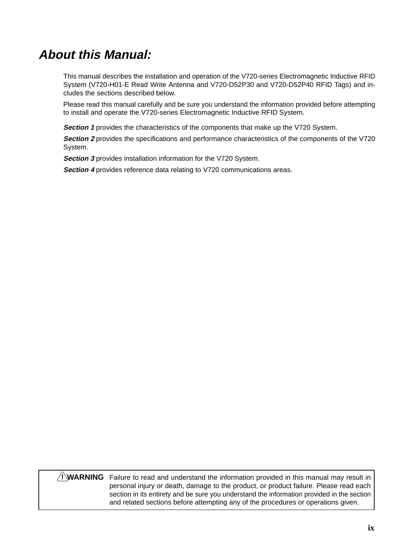# **About this Manual:**

This manual describes the installation and operation of the V720-series Electromagnetic Inductive RFID System (V720-H01-E Read Write Antenna and V720-D52P30 and V720-D52P40 RFID Tags) and includes the sections described below.

Please read this manual carefully and be sure you understand the information provided before attempting to install and operate the V720-series Electromagnetic Inductive RFID System.

**Section 1** provides the characteristics of the components that make up the V720 System.

**Section 2** provides the specifications and performance characteristics of the components of the V720 System.

**Section 3** provides installation information for the V720 System.

**Section 4** provides reference data relating to V720 communications areas.

#### **WARNING** Failure to read and understand the information provided in this manual may result in **!**personal injury or death, damage to the product, or product failure. Please read each section in its entirety and be sure you understand the information provided in the section and related sections before attempting any of the procedures or operations given.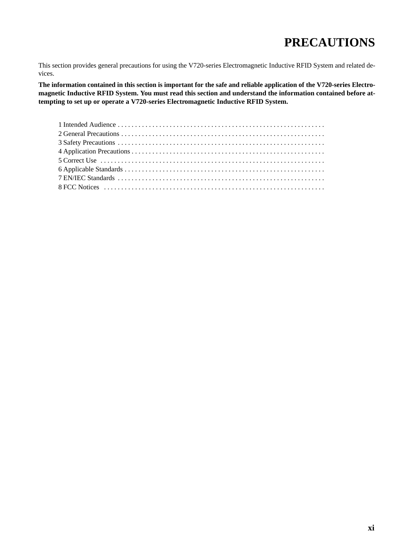# **PRECAUTIONS**

This section provides general precautions for using the V720-series Electromagnetic Inductive RFID System and related devices.

**The information contained in this section is important for the safe and reliable application of the V720-series Electromagnetic Inductive RFID System. You must read this section and understand the information contained before attempting to set up or operate a V720-series Electromagnetic Inductive RFID System.**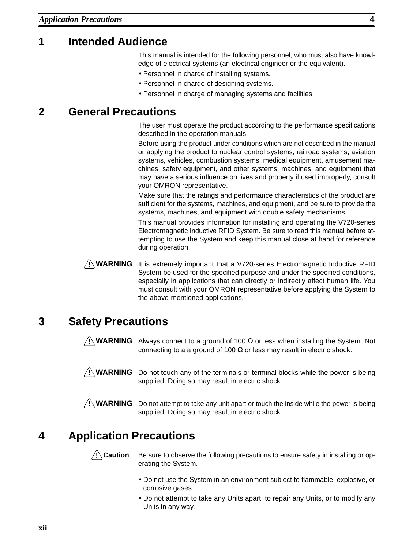# **1 Intended Audience**

This manual is intended for the following personnel, who must also have knowledge of electrical systems (an electrical engineer or the equivalent).

- Personnel in charge of installing systems.
- Personnel in charge of designing systems.
- Personnel in charge of managing systems and facilities.

#### **2 General Precautions**

The user must operate the product according to the performance specifications described in the operation manuals.

Before using the product under conditions which are not described in the manual or applying the product to nuclear control systems, railroad systems, aviation systems, vehicles, combustion systems, medical equipment, amusement machines, safety equipment, and other systems, machines, and equipment that may have a serious influence on lives and property if used improperly, consult your OMRON representative.

Make sure that the ratings and performance characteristics of the product are sufficient for the systems, machines, and equipment, and be sure to provide the systems, machines, and equipment with double safety mechanisms.

This manual provides information for installing and operating the V720-series Electromagnetic Inductive RFID System. Be sure to read this manual before attempting to use the System and keep this manual close at hand for reference during operation.



**! WARNING** It is extremely important that a V720-series Electromagnetic Inductive RFID System be used for the specified purpose and under the specified conditions, especially in applications that can directly or indirectly affect human life. You must consult with your OMRON representative before applying the System to the above-mentioned applications.

# **3 Safety Precautions**

**! WARNING** Always connect to a ground of 100 Ω or less when installing the System. Not connecting to a a ground of 100  $\Omega$  or less may result in electric shock.

**! WARNING** Do not touch any of the terminals or terminal blocks while the power is being supplied. Doing so may result in electric shock.

**! WARNING** Do not attempt to take any unit apart or touch the inside while the power is being supplied. Doing so may result in electric shock.

# **4 Application Precautions**

/**!∖Caution** 

Be sure to observe the following precautions to ensure safety in installing or operating the System.

- Do not use the System in an environment subject to flammable, explosive, or corrosive gases.
- Do not attempt to take any Units apart, to repair any Units, or to modify any Units in any way.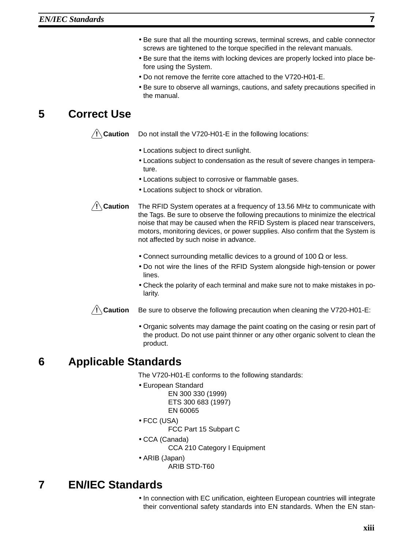- Be sure that all the mounting screws, terminal screws, and cable connector screws are tightened to the torque specified in the relevant manuals.
- Be sure that the items with locking devices are properly locked into place before using the System.
- Do not remove the ferrite core attached to the V720-H01-E.
- Be sure to observe all warnings, cautions, and safety precautions specified in the manual.

# **5 Correct Use**

**/!∖Caution** 

Do not install the V720-H01-E in the following locations:

- Locations subject to direct sunlight.
- Locations subject to condensation as the result of severe changes in temperature.
- Locations subject to corrosive or flammable gases.
- Locations subject to shock or vibration.

**/!∖** Caution **Caution** The RFID System operates at a frequency of 13.56 MHz to communicate with the Tags. Be sure to observe the following precautions to minimize the electrical noise that may be caused when the RFID System is placed near transceivers, motors, monitoring devices, or power supplies. Also confirm that the System is not affected by such noise in advance.

- Connect surrounding metallic devices to a ground of 100  $\Omega$  or less.
- Do not wire the lines of the RFID System alongside high-tension or power lines.
- Check the polarity of each terminal and make sure not to make mistakes in polarity.

**/!∖** Caution **Caution** Be sure to observe the following precaution when cleaning the V720-H01-E:

> • Organic solvents may damage the paint coating on the casing or resin part of the product. Do not use paint thinner or any other organic solvent to clean the product.

# **6 Applicable Standards**

The V720-H01-E conforms to the following standards:

- European Standard
	- EN 300 330 (1999)
	- ETS 300 683 (1997)
	- EN 60065
- FCC (USA)
	- FCC Part 15 Subpart C
- CCA (Canada)
	- CCA 210 Category I Equipment
- ARIB (Japan)
	- ARIB STD-T60

# **7 EN/IEC Standards**

• In connection with EC unification, eighteen European countries will integrate their conventional safety standards into EN standards. When the EN stan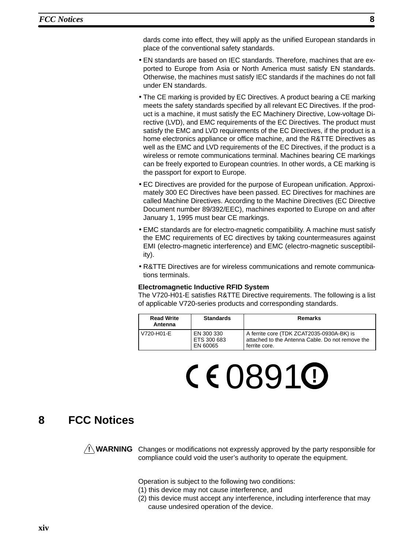dards come into effect, they will apply as the unified European standards in place of the conventional safety standards.

- EN standards are based on IEC standards. Therefore, machines that are exported to Europe from Asia or North America must satisfy EN standards. Otherwise, the machines must satisfy IEC standards if the machines do not fall under EN standards.
- The CE marking is provided by EC Directives. A product bearing a CE marking meets the safety standards specified by all relevant EC Directives. If the product is a machine, it must satisfy the EC Machinery Directive, Low-voltage Directive (LVD), and EMC requirements of the EC Directives. The product must satisfy the EMC and LVD requirements of the EC Directives, if the product is a home electronics appliance or office machine, and the R&TTE Directives as well as the EMC and LVD requirements of the EC Directives, if the product is a wireless or remote communications terminal. Machines bearing CE markings can be freely exported to European countries. In other words, a CE marking is the passport for export to Europe.
- EC Directives are provided for the purpose of European unification. Approximately 300 EC Directives have been passed. EC Directives for machines are called Machine Directives. According to the Machine Directives (EC Directive Document number 89/392/EEC), machines exported to Europe on and after January 1, 1995 must bear CE markings.
- EMC standards are for electro-magnetic compatibility. A machine must satisfy the EMC requirements of EC directives by taking countermeasures against EMI (electro-magnetic interference) and EMC (electro-magnetic susceptibility).
- R&TTE Directives are for wireless communications and remote communications terminals.

#### **Electromagnetic Inductive RFID System**

The V720-H01-E satisfies R&TTE Directive requirements. The following is a list of applicable V720-series products and corresponding standards.

| <b>Read Write</b><br>Antenna                        | <b>Standards</b> | Remarks                                                                                                        |
|-----------------------------------------------------|------------------|----------------------------------------------------------------------------------------------------------------|
| V720-H01-E<br>EN 300 330<br>ETS 300 683<br>EN 60065 |                  | A ferrite core (TDK ZCAT2035-0930A-BK) is<br>attached to the Antenna Cable. Do not remove the<br>ferrite core. |

# 0891 **!**

#### **8 FCC Notices**

**! WARNING** Changes or modifications not expressly approved by the party responsible for compliance could void the user's authority to operate the equipment.

Operation is subject to the following two conditions:

- (1) this device may not cause interference, and
- (2) this device must accept any interference, including interference that may cause undesired operation of the device.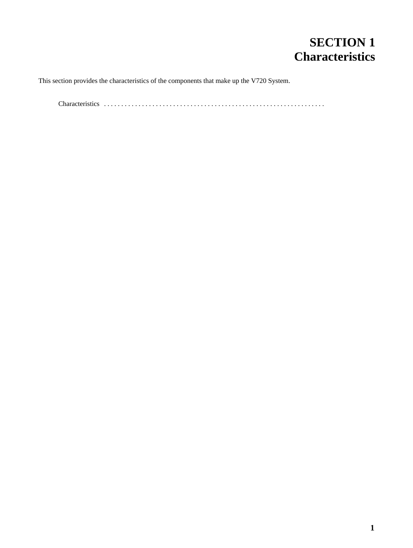# **SECTION 1 Characteristics**

This section provides the characteristics of the components that make up the V720 System.

Characteristics . . . . . . . . . . . . . . . . . . . . . . . . . . . . . . . . . . . . . . . . . . . . . . . . . . . . . . . . . . . . . . . .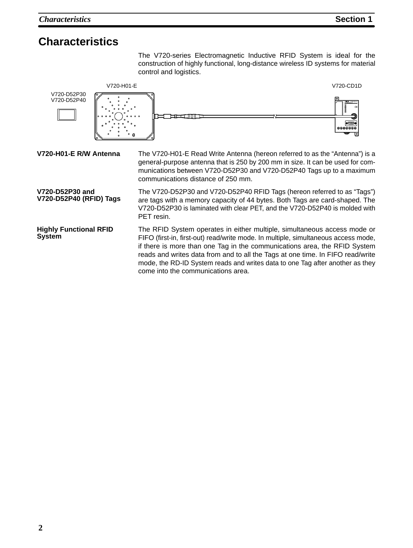The V720-series Electromagnetic Inductive RFID System is ideal for the construction of highly functional, long-distance wireless ID systems for material control and logistics.

V720-H01-E V720-CD1D



The RFID System operates in either multiple, simultaneous access mode or FIFO (first-in, first-out) read/write mode. In multiple, simultaneous access mode, if there is more than one Tag in the communications area, the RFID System reads and writes data from and to all the Tags at one time. In FIFO read/write mode, the RD-ID System reads and writes data to one Tag after another as they come into the communications area. **Highly Functional RFID System**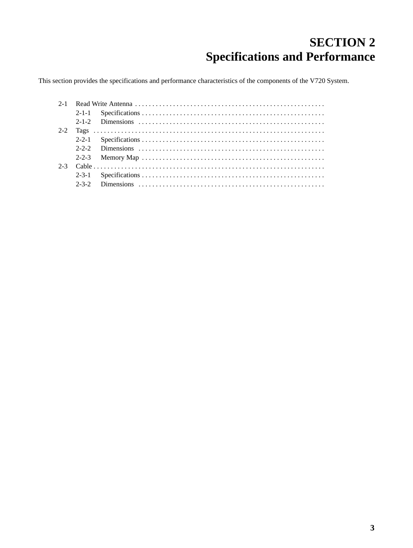# **SECTION 2 Specifications and Performance**

This section provides the specifications and performance characteristics of the components of the V720 System.

| $2 - 2$ |                                                                                                                                |
|---------|--------------------------------------------------------------------------------------------------------------------------------|
|         |                                                                                                                                |
|         |                                                                                                                                |
|         | 2-2-3 Memory Map $\dots \dots \dots \dots \dots \dots \dots \dots \dots \dots \dots \dots \dots \dots \dots \dots \dots \dots$ |
| $2 - 3$ |                                                                                                                                |
|         |                                                                                                                                |
|         |                                                                                                                                |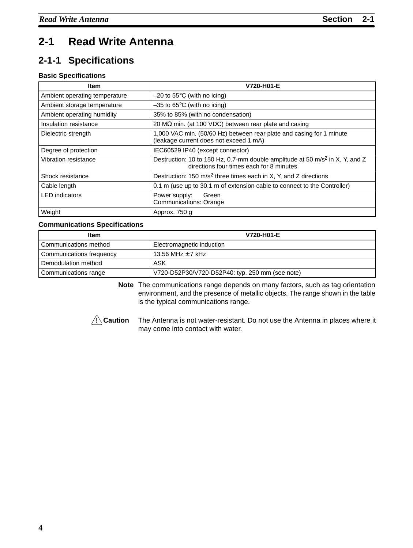# **2-1 Read Write Antenna**

# **2-1-1 Specifications**

#### **Basic Specifications**

| Item                          | V720-H01-E                                                                                                                           |
|-------------------------------|--------------------------------------------------------------------------------------------------------------------------------------|
| Ambient operating temperature | $-20$ to 55 $\degree$ C (with no icing)                                                                                              |
| Ambient storage temperature   | $-35$ to 65 $\degree$ C (with no icing)                                                                                              |
| Ambient operating humidity    | 35% to 85% (with no condensation)                                                                                                    |
| Insulation resistance         | 20 MΩ min. (at 100 VDC) between rear plate and casing                                                                                |
| Dielectric strength           | 1,000 VAC min. (50/60 Hz) between rear plate and casing for 1 minute<br>(leakage current does not exceed 1 mA)                       |
| Degree of protection          | IEC60529 IP40 (except connector)                                                                                                     |
| Vibration resistance          | Destruction: 10 to 150 Hz, 0.7-mm double amplitude at 50 m/s <sup>2</sup> in X, Y, and Z<br>directions four times each for 8 minutes |
| Shock resistance              | Destruction: 150 $m/s^2$ three times each in X, Y, and Z directions                                                                  |
| Cable length                  | 0.1 m (use up to 30.1 m of extension cable to connect to the Controller)                                                             |
| <b>LED</b> indicators         | Power supply:<br>Green<br><b>Communications: Orange</b>                                                                              |
| Weight                        | Approx. 750 g                                                                                                                        |

#### **Communications Specifications**

| <b>Item</b>                  | V720-H01-E                                      |
|------------------------------|-------------------------------------------------|
| <b>Communications method</b> | Electromagnetic induction                       |
| Communications frequency     | 13.56 MHz $\pm$ 7 kHz                           |
| Demodulation method          | ASK                                             |
| Communications range         | V720-D52P30/V720-D52P40: typ. 250 mm (see note) |

**Note** The communications range depends on many factors, such as tag orientation environment, and the presence of metallic objects. The range shown in the table is the typical communications range.



The Antenna is not water-resistant. Do not use the Antenna in places where it may come into contact with water.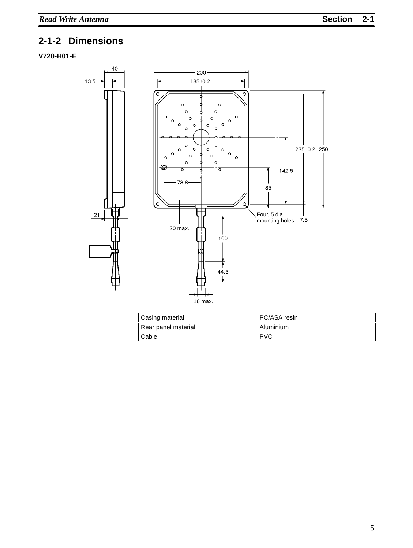# **2-1-2 Dimensions**

#### **V720-H01-E**



| Casing material     | PC/ASA resin |
|---------------------|--------------|
| Rear panel material | l Aluminium  |
| <b>Cable</b>        | l PVC        |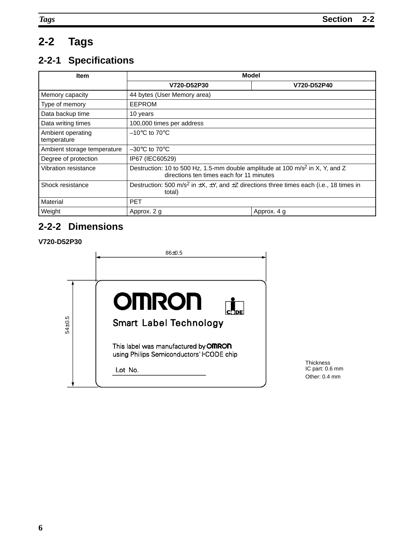# **2-2 Tags**

# **2-2-1 Specifications**

| <b>Item</b>                      | Model                                                                                                                                 |  |  |  |  |
|----------------------------------|---------------------------------------------------------------------------------------------------------------------------------------|--|--|--|--|
|                                  | V720-D52P30<br>V720-D52P40                                                                                                            |  |  |  |  |
| Memory capacity                  | 44 bytes (User Memory area)                                                                                                           |  |  |  |  |
| Type of memory                   | <b>EEPROM</b>                                                                                                                         |  |  |  |  |
| Data backup time                 | 10 years                                                                                                                              |  |  |  |  |
| Data writing times               | 100,000 times per address                                                                                                             |  |  |  |  |
| Ambient operating<br>temperature | $-10^{\circ}$ C to 70 $^{\circ}$ C                                                                                                    |  |  |  |  |
| Ambient storage temperature      | $-30^{\circ}$ C to 70 $^{\circ}$ C                                                                                                    |  |  |  |  |
| Degree of protection             | IP67 (IEC60529)                                                                                                                       |  |  |  |  |
| Vibration resistance             | Destruction: 10 to 500 Hz, 1.5-mm double amplitude at 100 m/s <sup>2</sup> in X, Y, and Z<br>directions ten times each for 11 minutes |  |  |  |  |
| Shock resistance                 | Destruction: 500 m/s <sup>2</sup> in $\pm X$ , $\pm Y$ , and $\pm Z$ directions three times each (i.e., 18 times in<br>total)         |  |  |  |  |
| Material                         | <b>PET</b>                                                                                                                            |  |  |  |  |
| Weight                           | Approx. 2 g<br>Approx. 4 g                                                                                                            |  |  |  |  |

## **2-2-2 Dimensions**

#### **V720-D52P30**

|        | $86 + 0.5$                                                                                                                                       |
|--------|--------------------------------------------------------------------------------------------------------------------------------------------------|
|        |                                                                                                                                                  |
| 54±0.5 | <b>OMRON</b><br>1DE<br><b>Smart Label Technology</b><br>This label was manufactured by <b>OMRON</b><br>using Philips Semiconductors' I CODE chip |
|        | Lot No.                                                                                                                                          |

Thickness IC part: 0.6 mm Other: 0.4 mm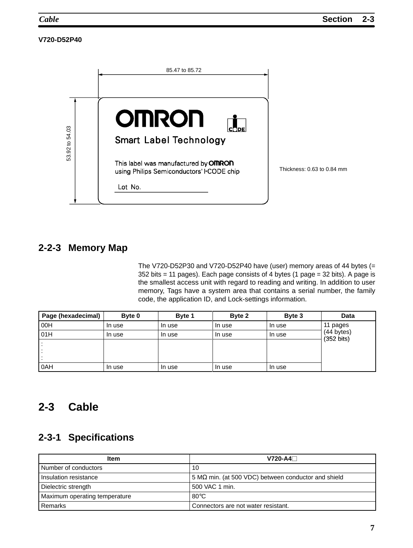#### **V720-D52P40**



#### **2-2-3 Memory Map**

The V720-D52P30 and V720-D52P40 have (user) memory areas of 44 bytes (= 352 bits = 11 pages). Each page consists of 4 bytes (1 page = 32 bits). A page is the smallest access unit with regard to reading and writing. In addition to user memory, Tags have a system area that contains a serial number, the family code, the application ID, and Lock-settings information.

| Page (hexadecimal) | Byte 0 | Byte 1 | Byte 2 | Byte 3 | Data                               |
|--------------------|--------|--------|--------|--------|------------------------------------|
| 00H                | In use | In use | In use | In use | 11 pages                           |
| 01H                | In use | In use | In use | In use | (44 bytes)<br>$(352 \text{ bits})$ |
|                    |        |        |        |        |                                    |
|                    |        |        |        |        |                                    |
|                    |        |        |        |        |                                    |
| 0AH                | In use | In use | In use | In use |                                    |

#### **2-3 Cable**

#### **2-3-1 Specifications**

| <b>Item</b>                   | $V720 - A4$                                                |
|-------------------------------|------------------------------------------------------------|
| Number of conductors          | 10                                                         |
| Insulation resistance         | $5 M\Omega$ min. (at 500 VDC) between conductor and shield |
| Dielectric strength           | 500 VAC 1 min.                                             |
| Maximum operating temperature | $80^{\circ}$ C                                             |
| Remarks                       | Connectors are not water resistant.                        |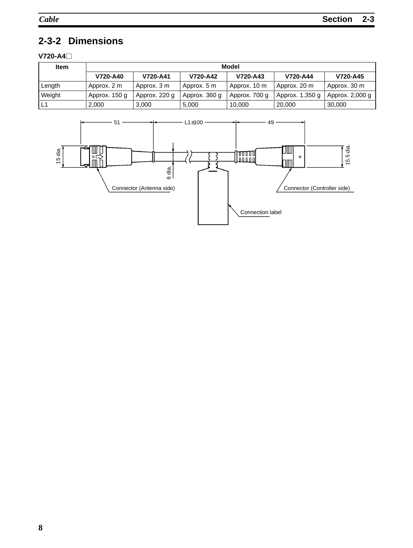# **2-3-2 Dimensions**

#### **V720-A4**

| <b>Item</b> | Model                                                    |               |               |               |                 |                 |
|-------------|----------------------------------------------------------|---------------|---------------|---------------|-----------------|-----------------|
|             | V720-A44<br>V720-A40<br>V720-A41<br>V720-A42<br>V720-A43 |               |               |               |                 | V720-A45        |
| Length      | Approx. 2 m                                              | Approx. 3 m   | Approx. 5 m   | Approx. 10 m  | Approx. 20 m    | Approx. 30 m    |
| Weight      | Approx. 150 g                                            | Approx. 220 g | Approx. 360 g | Approx. 700 g | Approx. 1,350 g | Approx. 2,000 g |
| L1          | 2.000                                                    | 3.000         | 5.000         | 10.000        | 20,000          | 30.000          |

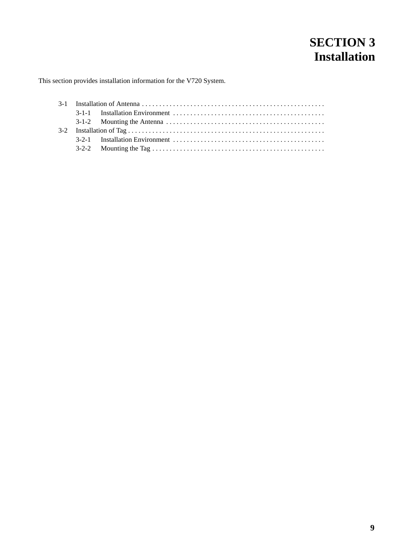# **SECTION 3 Installation**

This section provides installation information for the V720 System.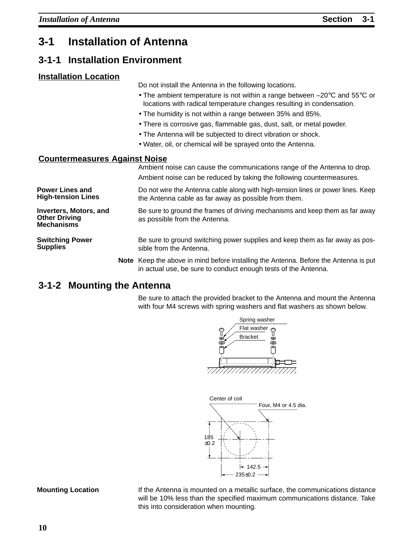# **3-1 Installation of Antenna**

#### **3-1-1 Installation Environment**

#### **Installation Location**

Do not install the Antenna in the following locations.

- The ambient temperature is not within a range between –20°C and 55°C or locations with radical temperature changes resulting in condensation.
- The humidity is not within a range between 35% and 85%.
- There is corrosive gas, flammable gas, dust, salt, or metal powder.
- The Antenna will be subjected to direct vibration or shock.
- Water, oil, or chemical will be sprayed onto the Antenna.

#### **Countermeasures Against Noise**

Ambient noise can cause the communications range of the Antenna to drop. Ambient noise can be reduced by taking the following countermeasures. Do not wire the Antenna cable along with high-tension lines or power lines. Keep the Antenna cable as far away as possible from them. Be sure to ground the frames of driving mechanisms and keep them as far away as possible from the Antenna. Be sure to ground switching power supplies and keep them as far away as possible from the Antenna. **Note** Keep the above in mind before installing the Antenna. Before the Antenna is put in actual use, be sure to conduct enough tests of the Antenna. **Power Lines and High-tension Lines Inverters, Motors, and Other Driving Mechanisms Switching Power Supplies**

#### **3-1-2 Mounting the Antenna**

Be sure to attach the provided bracket to the Antenna and mount the Antenna with four M4 screws with spring washers and flat washers as shown below.





#### **Mounting Location**

If the Antenna is mounted on a metallic surface, the communications distance will be 10% less than the specified maximum communications distance. Take this into consideration when mounting.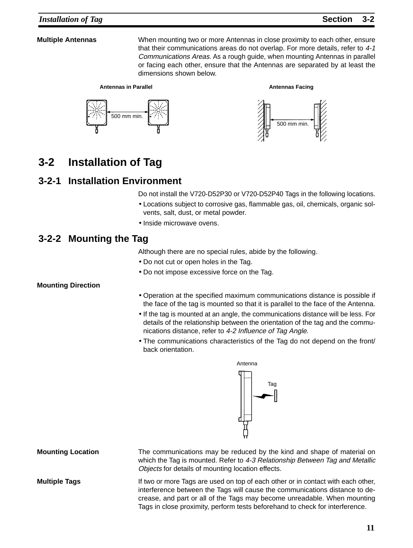#### **Multiple Antennas**

When mounting two or more Antennas in close proximity to each other, ensure that their communications areas do not overlap. For more details, refer to 4-1 Communications Areas. As a rough guide, when mounting Antennas in parallel or facing each other, ensure that the Antennas are separated by at least the dimensions shown below.







**Antennas Facing**

# **3-2 Installation of Tag**

#### **3-2-1 Installation Environment**

Do not install the V720-D52P30 or V720-D52P40 Tags in the following locations.

- Locations subject to corrosive gas, flammable gas, oil, chemicals, organic solvents, salt, dust, or metal powder.
- Inside microwave ovens.

#### **3-2-2 Mounting the Tag**

Although there are no special rules, abide by the following.

- Do not cut or open holes in the Tag.
- Do not impose excessive force on the Tag.

#### **Mounting Direction**

- Operation at the specified maximum communications distance is possible if the face of the tag is mounted so that it is parallel to the face of the Antenna.
- If the tag is mounted at an angle, the communications distance will be less. For details of the relationship between the orientation of the tag and the communications distance, refer to 4-2 Influence of Tag Angle.
- The communications characteristics of the Tag do not depend on the front/ back orientation.



**Mounting Location**

**Multiple Tags**

The communications may be reduced by the kind and shape of material on which the Tag is mounted. Refer to 4-3 Relationship Between Tag and Metallic Objects for details of mounting location effects.

If two or more Tags are used on top of each other or in contact with each other, interference between the Tags will cause the communications distance to decrease, and part or all of the Tags may become unreadable. When mounting Tags in close proximity, perform tests beforehand to check for interference.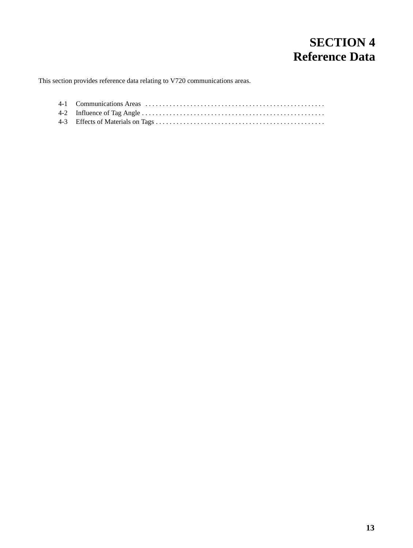# **SECTION 4 Reference Data**

This section provides reference data relating to V720 communications areas.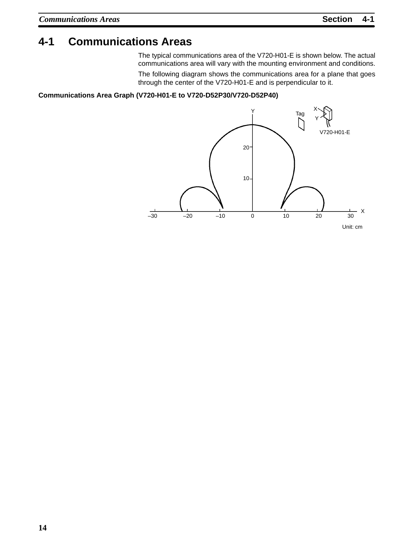#### **4-1 Communications Areas**

The typical communications area of the V720-H01-E is shown below. The actual communications area will vary with the mounting environment and conditions.

The following diagram shows the communications area for a plane that goes through the center of the V720-H01-E and is perpendicular to it.

#### **Communications Area Graph (V720-H01-E to V720-D52P30/V720-D52P40)**

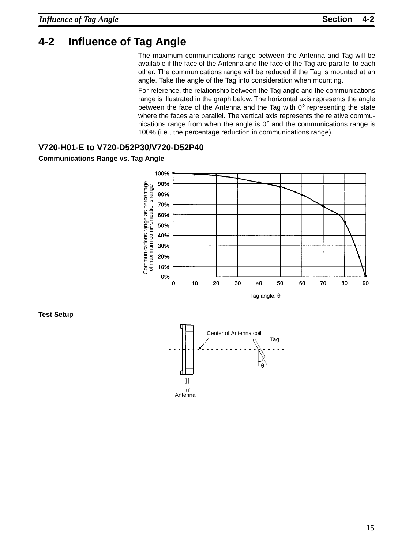## **4-2 Influence of Tag Angle**

The maximum communications range between the Antenna and Tag will be available if the face of the Antenna and the face of the Tag are parallel to each other. The communications range will be reduced if the Tag is mounted at an angle. Take the angle of the Tag into consideration when mounting.

For reference, the relationship between the Tag angle and the communications range is illustrated in the graph below. The horizontal axis represents the angle between the face of the Antenna and the Tag with 0° representing the state where the faces are parallel. The vertical axis represents the relative communications range from when the angle is 0° and the communications range is 100% (i.e., the percentage reduction in communications range).

#### **V720-H01-E to V720-D52P30/V720-D52P40**

#### **Communications Range vs. Tag Angle**



**Test Setup**

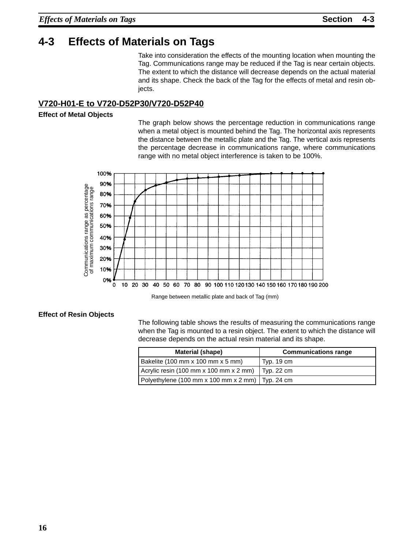# **4-3 Effects of Materials on Tags**

Take into consideration the effects of the mounting location when mounting the Tag. Communications range may be reduced if the Tag is near certain objects. The extent to which the distance will decrease depends on the actual material and its shape. Check the back of the Tag for the effects of metal and resin objects.

#### **V720-H01-E to V720-D52P30/V720-D52P40**

#### **Effect of Metal Objects**

The graph below shows the percentage reduction in communications range when a metal object is mounted behind the Tag. The horizontal axis represents the distance between the metallic plate and the Tag. The vertical axis represents the percentage decrease in communications range, where communications range with no metal object interference is taken to be 100%.



Range between metallic plate and back of Tag (mm)

#### **Effect of Resin Objects**

The following table shows the results of measuring the communications range when the Tag is mounted to a resin object. The extent to which the distance will decrease depends on the actual resin material and its shape.

| <b>Material (shape)</b>                            | <b>Communications range</b> |
|----------------------------------------------------|-----------------------------|
| Bakelite (100 mm x 100 mm x 5 mm)                  | Typ. $19 \text{ cm}$        |
| Acrylic resin (100 mm x 100 mm x 2 mm)             | $\mathsf{I}$ Typ. 22 cm     |
| Polyethylene (100 mm x 100 mm x 2 mm)   Typ. 24 cm |                             |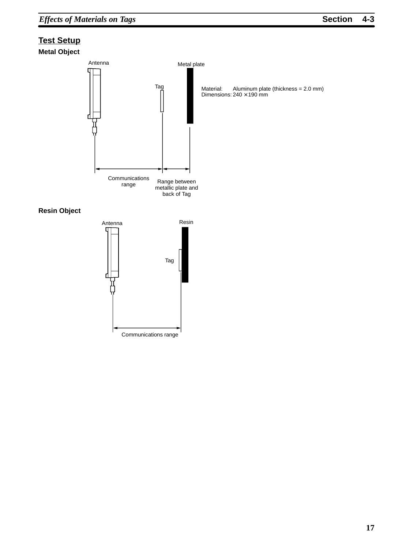# **Test Setup**





**Resin Object**